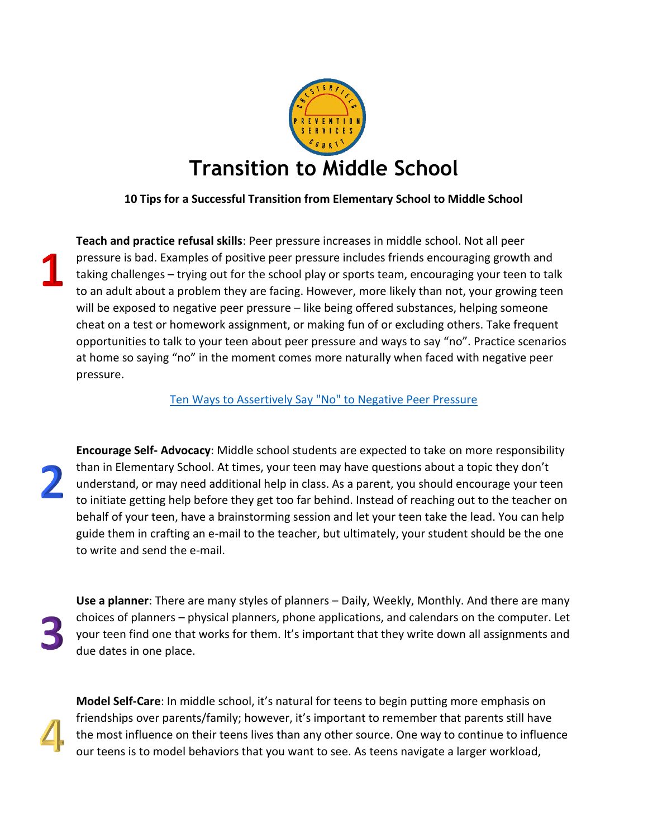

## **10 Tips for a Successful Transition from Elementary School to Middle School**

**Teach and practice refusal skills**: Peer pressure increases in middle school. Not all peer pressure is bad. Examples of positive peer pressure includes friends encouraging growth and taking challenges – trying out for the school play or sports team, encouraging your teen to talk to an adult about a problem they are facing. However, more likely than not, your growing teen will be exposed to negative peer pressure – like being offered substances, helping someone cheat on a test or homework assignment, or making fun of or excluding others. Take frequent opportunities to talk to your teen about peer pressure and ways to say "no". Practice scenarios at home so saying "no" in the moment comes more naturally when faced with negative peer pressure.

[Ten Ways to Assertively Say "No" to Negative Peer Pressure](https://www.srcschools.org/cms/lib/CA02206835/Centricity/Domain/91/Ten%20Refusal%20Skills%20-%20Google%20Docs.pdf)

**Encourage Self- Advocacy**: Middle school students are expected to take on more responsibility than in Elementary School. At times, your teen may have questions about a topic they don't understand, or may need additional help in class. As a parent, you should encourage your teen to initiate getting help before they get too far behind. Instead of reaching out to the teacher on behalf of your teen, have a brainstorming session and let your teen take the lead. You can help guide them in crafting an e-mail to the teacher, but ultimately, your student should be the one to write and send the e-mail.

**Use a planner**: There are many styles of planners – Daily, Weekly, Monthly. And there are many choices of planners – physical planners, phone applications, and calendars on the computer. Let your teen find one that works for them. It's important that they write down all assignments and due dates in one place.

**Model Self-Care**: In middle school, it's natural for teens to begin putting more emphasis on friendships over parents/family; however, it's important to remember that parents still have the most influence on their teens lives than any other source. One way to continue to influence our teens is to model behaviors that you want to see. As teens navigate a larger workload,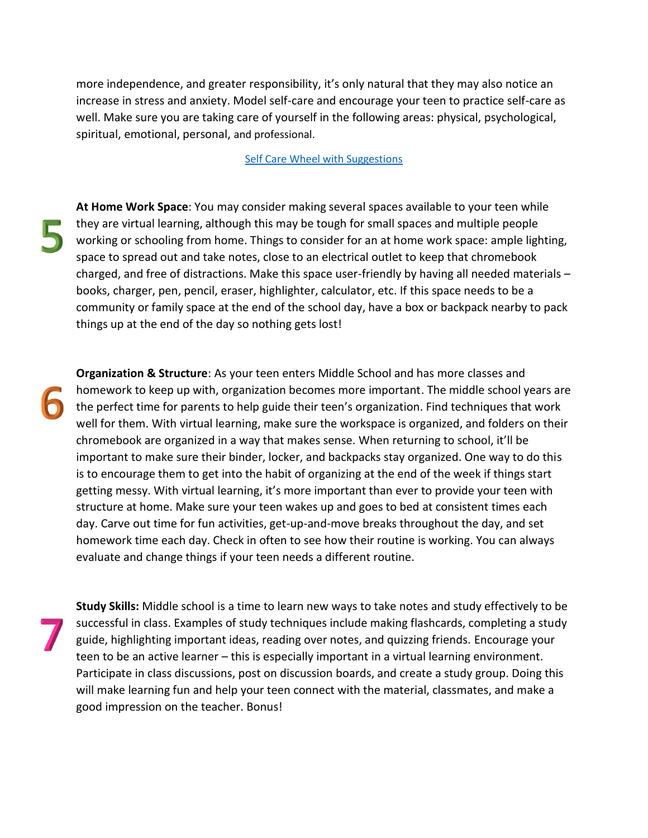more independence, and greater responsibility, it's only natural that they may also notice an increase in stress and anxiety. Model self-care and encourage your teen to practice self-care as well. Make sure you are taking care of yourself in the following areas: physical, psychological, spiritual, emotional, personal, and professional.

## [Self Care Wheel with Suggestions](http://www.olgaphoenix.com/wp-content/uploads/2015/05/SelfCare-Wheel-Final.pdf)

**At Home Work Space**: You may consider making several spaces available to your teen while they are virtual learning, although this may be tough for small spaces and multiple people working or schooling from home. Things to consider for an at home work space: ample lighting, space to spread out and take notes, close to an electrical outlet to keep that chromebook charged, and free of distractions. Make this space user-friendly by having all needed materials – books, charger, pen, pencil, eraser, highlighter, calculator, etc. If this space needs to be a community or family space at the end of the school day, have a box or backpack nearby to pack things up at the end of the day so nothing gets lost!

**Organization & Structure**: As your teen enters Middle School and has more classes and homework to keep up with, organization becomes more important. The middle school years are the perfect time for parents to help guide their teen's organization. Find techniques that work well for them. With virtual learning, make sure the workspace is organized, and folders on their chromebook are organized in a way that makes sense. When returning to school, it'll be important to make sure their binder, locker, and backpacks stay organized. One way to do this is to encourage them to get into the habit of organizing at the end of the week if things start getting messy. With virtual learning, it's more important than ever to provide your teen with structure at home. Make sure your teen wakes up and goes to bed at consistent times each day. Carve out time for fun activities, get-up-and-move breaks throughout the day, and set homework time each day. Check in often to see how their routine is working. You can always evaluate and change things if your teen needs a different routine.

**Study Skills:** Middle school is a time to learn new ways to take notes and study effectively to be successful in class. Examples of study techniques include making flashcards, completing a study guide, highlighting important ideas, reading over notes, and quizzing friends. Encourage your teen to be an active learner – this is especially important in a virtual learning environment. Participate in class discussions, post on discussion boards, and create a study group. Doing this will make learning fun and help your teen connect with the material, classmates, and make a good impression on the teacher. Bonus!